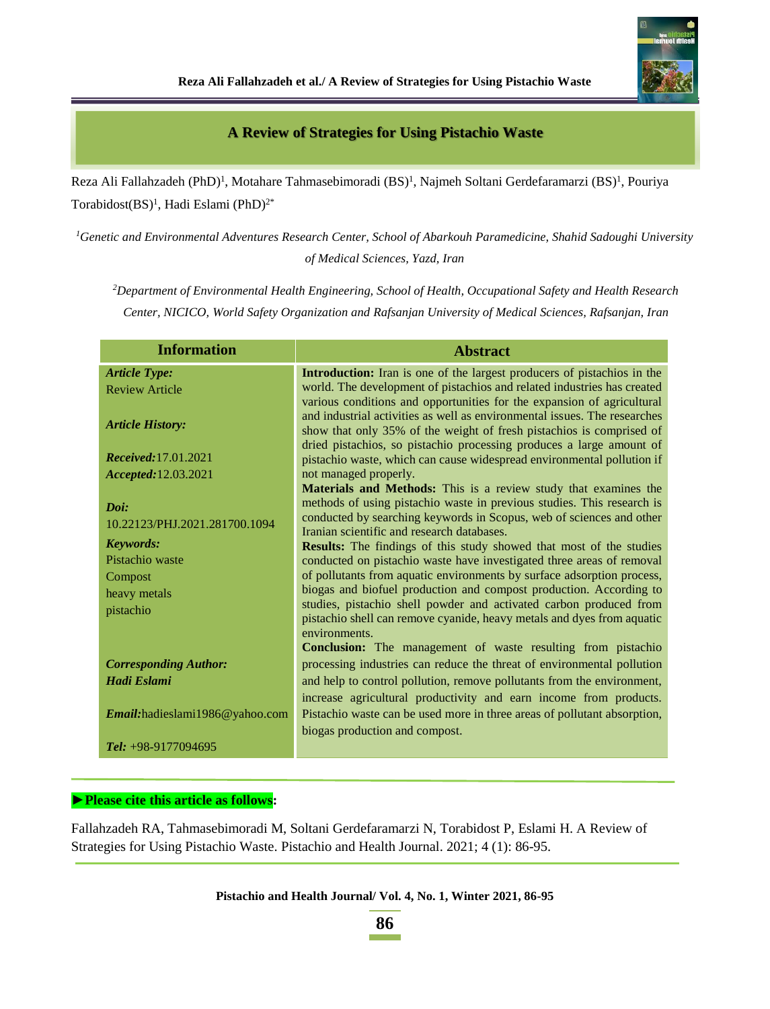#### **A Review of Strategies for Using Pistachio Waste**

Reza Ali Fallahzadeh (PhD)<sup>1</sup>, Motahare Tahmasebimoradi (BS)<sup>1</sup>, Najmeh Soltani Gerdefaramarzi (BS)<sup>1</sup>, Pouriya Torabidost(BS)<sup>1</sup>, Hadi Eslami (PhD)<sup>2\*</sup>

*<sup>1</sup>Genetic and Environmental Adventures Research Center, School of Abarkouh Paramedicine, Shahid Sadoughi University of Medical Sciences, Yazd, Iran*

*<sup>2</sup>Department of Environmental Health Engineering, School of Health, Occupational Safety and Health Research Center, NICICO, World Safety Organization and Rafsanjan University of Medical Sciences, Rafsanjan, Iran*

| <b>Information</b>             | <b>Abstract</b>                                                                                                                                   |
|--------------------------------|---------------------------------------------------------------------------------------------------------------------------------------------------|
| <b>Article Type:</b>           | <b>Introduction:</b> Iran is one of the largest producers of pistachios in the                                                                    |
| <b>Review Article</b>          | world. The development of pistachios and related industries has created<br>various conditions and opportunities for the expansion of agricultural |
| <b>Article History:</b>        | and industrial activities as well as environmental issues. The researches<br>show that only 35% of the weight of fresh pistachios is comprised of |
|                                | dried pistachios, so pistachio processing produces a large amount of                                                                              |
| Received: 17.01.2021           | pistachio waste, which can cause widespread environmental pollution if                                                                            |
| Accepted:12.03.2021            | not managed properly.                                                                                                                             |
|                                | Materials and Methods: This is a review study that examines the                                                                                   |
| Doi:                           | methods of using pistachio waste in previous studies. This research is<br>conducted by searching keywords in Scopus, web of sciences and other    |
| 10.22123/PHJ.2021.281700.1094  | Iranian scientific and research databases.                                                                                                        |
| <b>Keywords:</b>               | <b>Results:</b> The findings of this study showed that most of the studies                                                                        |
| Pistachio waste                | conducted on pistachio waste have investigated three areas of removal                                                                             |
| Compost                        | of pollutants from aquatic environments by surface adsorption process,                                                                            |
| heavy metals                   | biogas and biofuel production and compost production. According to                                                                                |
| pistachio                      | studies, pistachio shell powder and activated carbon produced from                                                                                |
|                                | pistachio shell can remove cyanide, heavy metals and dyes from aquatic<br>environments.                                                           |
|                                | <b>Conclusion:</b> The management of waste resulting from pistachio                                                                               |
| <b>Corresponding Author:</b>   | processing industries can reduce the threat of environmental pollution                                                                            |
| Hadi Eslami                    | and help to control pollution, remove pollutants from the environment,                                                                            |
|                                | increase agricultural productivity and earn income from products.                                                                                 |
| Email:hadieslami1986@yahoo.com | Pistachio waste can be used more in three areas of pollutant absorption,                                                                          |
|                                | biogas production and compost.                                                                                                                    |
| <b>Tel:</b> $+98-9177094695$   |                                                                                                                                                   |

#### **►Please cite this article as follows:**

Fallahzadeh RA, Tahmasebimoradi M, Soltani Gerdefaramarzi N, Torabidost P, Eslami H. A Review of Strategies for Using Pistachio Waste. Pistachio and Health Journal. 2021; 4 (1): 86-95.

#### **Pistachio and Health Journal/ Vol. 4, No. 1, Winter 2021, 86-95**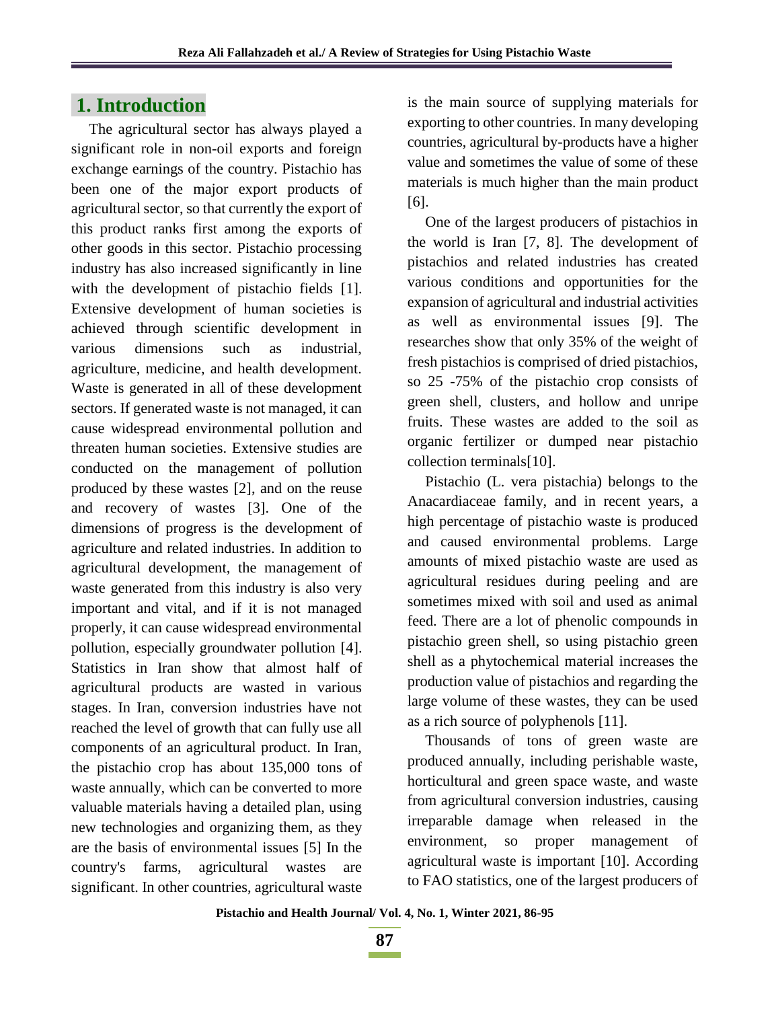## **1. Introduction**

The agricultural sector has always played a significant role in non-oil exports and foreign exchange earnings of the country. Pistachio has been one of the major export products of agricultural sector, so that currently the export of this product ranks first among the exports of other goods in this sector. Pistachio processing industry has also increased significantly in line with the development of pistachio fields [1]. Extensive development of human societies is achieved through scientific development in various dimensions such as industrial, agriculture, medicine, and health development. Waste is generated in all of these development sectors. If generated waste is not managed, it can cause widespread environmental pollution and threaten human societies. Extensive studies are conducted on the management of pollution produced by these wastes [2], and on the reuse and recovery of wastes [3]. One of the dimensions of progress is the development of agriculture and related industries. In addition to agricultural development, the management of waste generated from this industry is also very important and vital, and if it is not managed properly, it can cause widespread environmental pollution, especially groundwater pollution [4]. Statistics in Iran show that almost half of agricultural products are wasted in various stages. In Iran, conversion industries have not reached the level of growth that can fully use all components of an agricultural product. In Iran, the pistachio crop has about 135,000 tons of waste annually, which can be converted to more valuable materials having a detailed plan, using new technologies and organizing them, as they are the basis of environmental issues [5] In the country's farms, agricultural wastes are significant. In other countries, agricultural waste is the main source of supplying materials for exporting to other countries. In many developing countries, agricultural by-products have a higher value and sometimes the value of some of these materials is much higher than the main product [6].

One of the largest producers of pistachios in the world is Iran [7, 8]. The development of pistachios and related industries has created various conditions and opportunities for the expansion of agricultural and industrial activities as well as environmental issues [9]. The researches show that only 35% of the weight of fresh pistachios is comprised of dried pistachios, so 25 -75% of the pistachio crop consists of green shell, clusters, and hollow and unripe fruits. These wastes are added to the soil as organic fertilizer or dumped near pistachio collection terminals[10].

Pistachio (L. vera pistachia) belongs to the Anacardiaceae family, and in recent years, a high percentage of pistachio waste is produced and caused environmental problems. Large amounts of mixed pistachio waste are used as agricultural residues during peeling and are sometimes mixed with soil and used as animal feed. There are a lot of phenolic compounds in pistachio green shell, so using pistachio green shell as a phytochemical material increases the production value of pistachios and regarding the large volume of these wastes, they can be used as a rich source of polyphenols [11].

Thousands of tons of green waste are produced annually, including perishable waste, horticultural and green space waste, and waste from agricultural conversion industries, causing irreparable damage when released in the environment, so proper management of agricultural waste is important [10]. According to FAO statistics, one of the largest producers of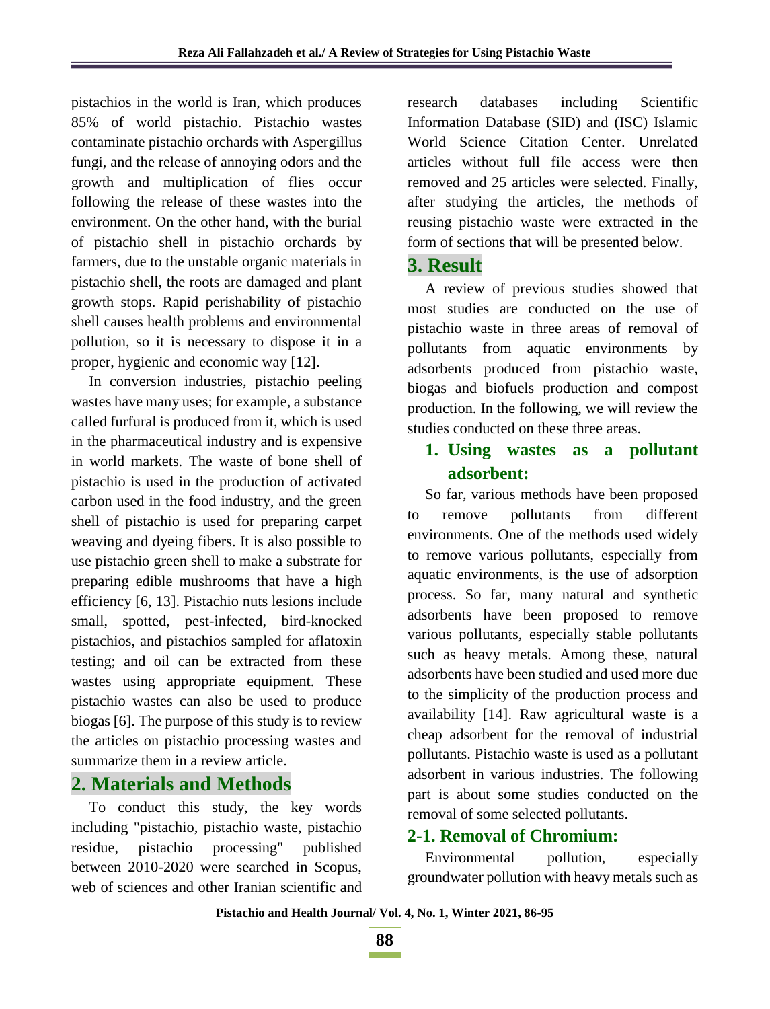pistachios in the world is Iran, which produces 85% of world pistachio. Pistachio wastes contaminate pistachio orchards with Aspergillus fungi, and the release of annoying odors and the growth and multiplication of flies occur following the release of these wastes into the environment. On the other hand, with the burial of pistachio shell in pistachio orchards by farmers, due to the unstable organic materials in pistachio shell, the roots are damaged and plant growth stops. Rapid perishability of pistachio shell causes health problems and environmental pollution, so it is necessary to dispose it in a proper, hygienic and economic way [12].

In conversion industries, pistachio peeling wastes have many uses; for example, a substance called furfural is produced from it, which is used in the pharmaceutical industry and is expensive in world markets. The waste of bone shell of pistachio is used in the production of activated carbon used in the food industry, and the green shell of pistachio is used for preparing carpet weaving and dyeing fibers. It is also possible to use pistachio green shell to make a substrate for preparing edible mushrooms that have a high efficiency [6, 13]. Pistachio nuts lesions include small, spotted, pest-infected, bird-knocked pistachios, and pistachios sampled for aflatoxin testing; and oil can be extracted from these wastes using appropriate equipment. These pistachio wastes can also be used to produce biogas [6]. The purpose of this study is to review the articles on pistachio processing wastes and summarize them in a review article.

### **2. Materials and Methods**

To conduct this study, the key words including "pistachio, pistachio waste, pistachio residue, pistachio processing" published between 2010-2020 were searched in Scopus, web of sciences and other Iranian scientific and research databases including Scientific Information Database (SID) and (ISC) Islamic World Science Citation Center. Unrelated articles without full file access were then removed and 25 articles were selected. Finally, after studying the articles, the methods of reusing pistachio waste were extracted in the form of sections that will be presented below.

### **3. Result**

A review of previous studies showed that most studies are conducted on the use of pistachio waste in three areas of removal of pollutants from aquatic environments by adsorbents produced from pistachio waste, biogas and biofuels production and compost production. In the following, we will review the studies conducted on these three areas.

### **1. Using wastes as a pollutant adsorbent:**

So far, various methods have been proposed to remove pollutants from different environments. One of the methods used widely to remove various pollutants, especially from aquatic environments, is the use of adsorption process. So far, many natural and synthetic adsorbents have been proposed to remove various pollutants, especially stable pollutants such as heavy metals. Among these, natural adsorbents have been studied and used more due to the simplicity of the production process and availability [14]. Raw agricultural waste is a cheap adsorbent for the removal of industrial pollutants. Pistachio waste is used as a pollutant adsorbent in various industries. The following part is about some studies conducted on the removal of some selected pollutants.

### **2-1. Removal of Chromium:**

Environmental pollution, especially groundwater pollution with heavy metals such as

**Pistachio and Health Journal/ Vol. 4, No. 1, Winter 2021, 86-95**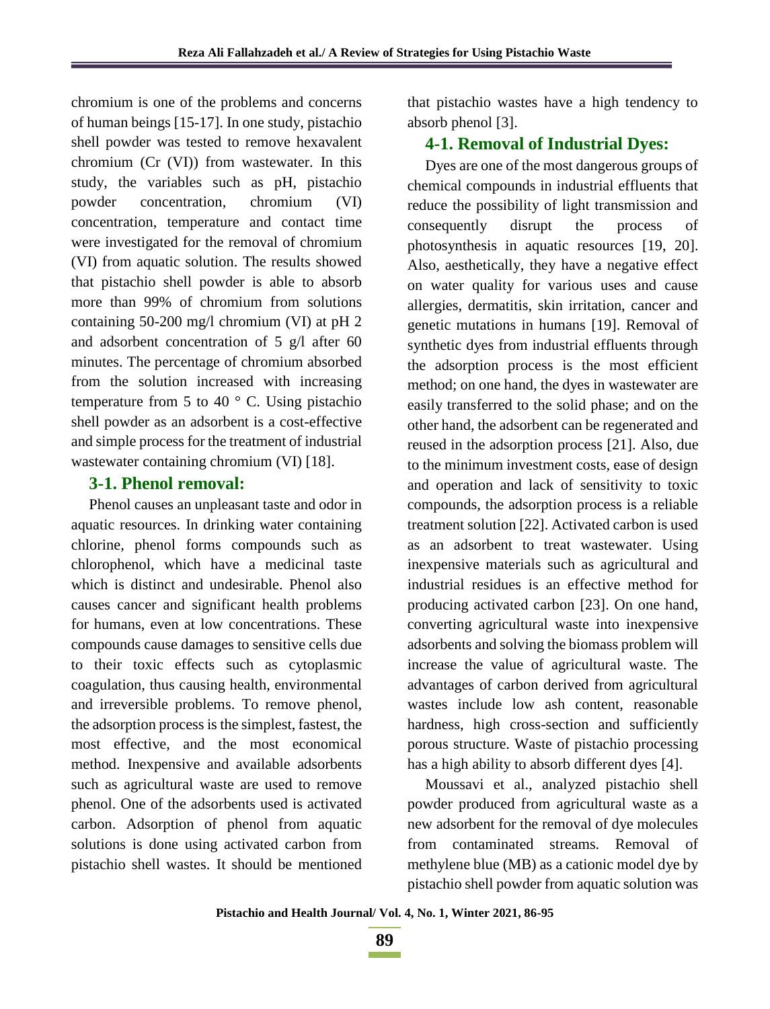chromium is one of the problems and concerns of human beings [15-17]. In one study, pistachio shell powder was tested to remove hexavalent chromium (Cr (VI)) from wastewater. In this study, the variables such as pH, pistachio powder concentration, chromium (VI) concentration, temperature and contact time were investigated for the removal of chromium (VI) from aquatic solution. The results showed that pistachio shell powder is able to absorb more than 99% of chromium from solutions containing 50-200 mg/l chromium (VI) at pH 2 and adsorbent concentration of 5 g/l after 60 minutes. The percentage of chromium absorbed from the solution increased with increasing temperature from 5 to 40 ° C. Using pistachio shell powder as an adsorbent is a cost-effective and simple process for the treatment of industrial wastewater containing chromium (VI) [18].

#### **3-1. Phenol removal:**

Phenol causes an unpleasant taste and odor in aquatic resources. In drinking water containing chlorine, phenol forms compounds such as chlorophenol, which have a medicinal taste which is distinct and undesirable. Phenol also causes cancer and significant health problems for humans, even at low concentrations. These compounds cause damages to sensitive cells due to their toxic effects such as cytoplasmic coagulation, thus causing health, environmental and irreversible problems. To remove phenol, the adsorption process is the simplest, fastest, the most effective, and the most economical method. Inexpensive and available adsorbents such as agricultural waste are used to remove phenol. One of the adsorbents used is activated carbon. Adsorption of phenol from aquatic solutions is done using activated carbon from pistachio shell wastes. It should be mentioned that pistachio wastes have a high tendency to absorb phenol [3].

#### **4-1. Removal of Industrial Dyes:**

Dyes are one of the most dangerous groups of chemical compounds in industrial effluents that reduce the possibility of light transmission and consequently disrupt the process of photosynthesis in aquatic resources [19, 20]. Also, aesthetically, they have a negative effect on water quality for various uses and cause allergies, dermatitis, skin irritation, cancer and genetic mutations in humans [19]. Removal of synthetic dyes from industrial effluents through the adsorption process is the most efficient method; on one hand, the dyes in wastewater are easily transferred to the solid phase; and on the other hand, the adsorbent can be regenerated and reused in the adsorption process [21]. Also, due to the minimum investment costs, ease of design and operation and lack of sensitivity to toxic compounds, the adsorption process is a reliable treatment solution [22]. Activated carbon is used as an adsorbent to treat wastewater. Using inexpensive materials such as agricultural and industrial residues is an effective method for producing activated carbon [23]. On one hand, converting agricultural waste into inexpensive adsorbents and solving the biomass problem will increase the value of agricultural waste. The advantages of carbon derived from agricultural wastes include low ash content, reasonable hardness, high cross-section and sufficiently porous structure. Waste of pistachio processing has a high ability to absorb different dyes [4].

Moussavi et al., analyzed pistachio shell powder produced from agricultural waste as a new adsorbent for the removal of dye molecules from contaminated streams. Removal of methylene blue (MB) as a cationic model dye by pistachio shell powder from aquatic solution was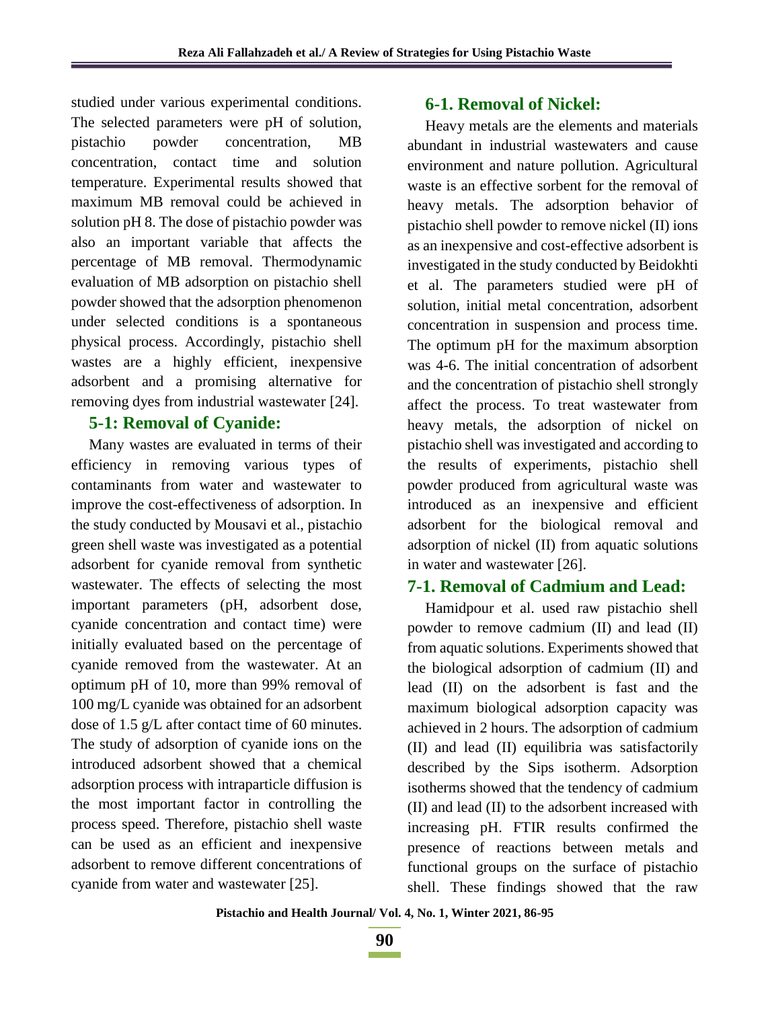studied under various experimental conditions. The selected parameters were pH of solution, pistachio powder concentration, MB concentration, contact time and solution temperature. Experimental results showed that maximum MB removal could be achieved in solution pH 8. The dose of pistachio powder was also an important variable that affects the percentage of MB removal. Thermodynamic evaluation of MB adsorption on pistachio shell powder showed that the adsorption phenomenon under selected conditions is a spontaneous physical process. Accordingly, pistachio shell wastes are a highly efficient, inexpensive adsorbent and a promising alternative for removing dyes from industrial wastewater [24].

### **5-1: Removal of Cyanide:**

Many wastes are evaluated in terms of their efficiency in removing various types of contaminants from water and wastewater to improve the cost-effectiveness of adsorption. In the study conducted by Mousavi et al., pistachio green shell waste was investigated as a potential adsorbent for cyanide removal from synthetic wastewater. The effects of selecting the most important parameters (pH, adsorbent dose, cyanide concentration and contact time) were initially evaluated based on the percentage of cyanide removed from the wastewater. At an optimum pH of 10, more than 99% removal of 100 mg/L cyanide was obtained for an adsorbent dose of 1.5 g/L after contact time of 60 minutes. The study of adsorption of cyanide ions on the introduced adsorbent showed that a chemical adsorption process with intraparticle diffusion is the most important factor in controlling the process speed. Therefore, pistachio shell waste can be used as an efficient and inexpensive adsorbent to remove different concentrations of cyanide from water and wastewater [25].

### **6-1. Removal of Nickel:**

Heavy metals are the elements and materials abundant in industrial wastewaters and cause environment and nature pollution. Agricultural waste is an effective sorbent for the removal of heavy metals. The adsorption behavior of pistachio shell powder to remove nickel (II) ions as an inexpensive and cost-effective adsorbent is investigated in the study conducted by Beidokhti et al. The parameters studied were pH of solution, initial metal concentration, adsorbent concentration in suspension and process time. The optimum pH for the maximum absorption was 4-6. The initial concentration of adsorbent and the concentration of pistachio shell strongly affect the process. To treat wastewater from heavy metals, the adsorption of nickel on pistachio shell was investigated and according to the results of experiments, pistachio shell powder produced from agricultural waste was introduced as an inexpensive and efficient adsorbent for the biological removal and adsorption of nickel (II) from aquatic solutions in water and wastewater [26].

### **7-1. Removal of Cadmium and Lead:**

Hamidpour et al. used raw pistachio shell powder to remove cadmium (II) and lead (II) from aquatic solutions. Experiments showed that the biological adsorption of cadmium (II) and lead (II) on the adsorbent is fast and the maximum biological adsorption capacity was achieved in 2 hours. The adsorption of cadmium (II) and lead (II) equilibria was satisfactorily described by the Sips isotherm. Adsorption isotherms showed that the tendency of cadmium (II) and lead (II) to the adsorbent increased with increasing pH. FTIR results confirmed the presence of reactions between metals and functional groups on the surface of pistachio shell. These findings showed that the raw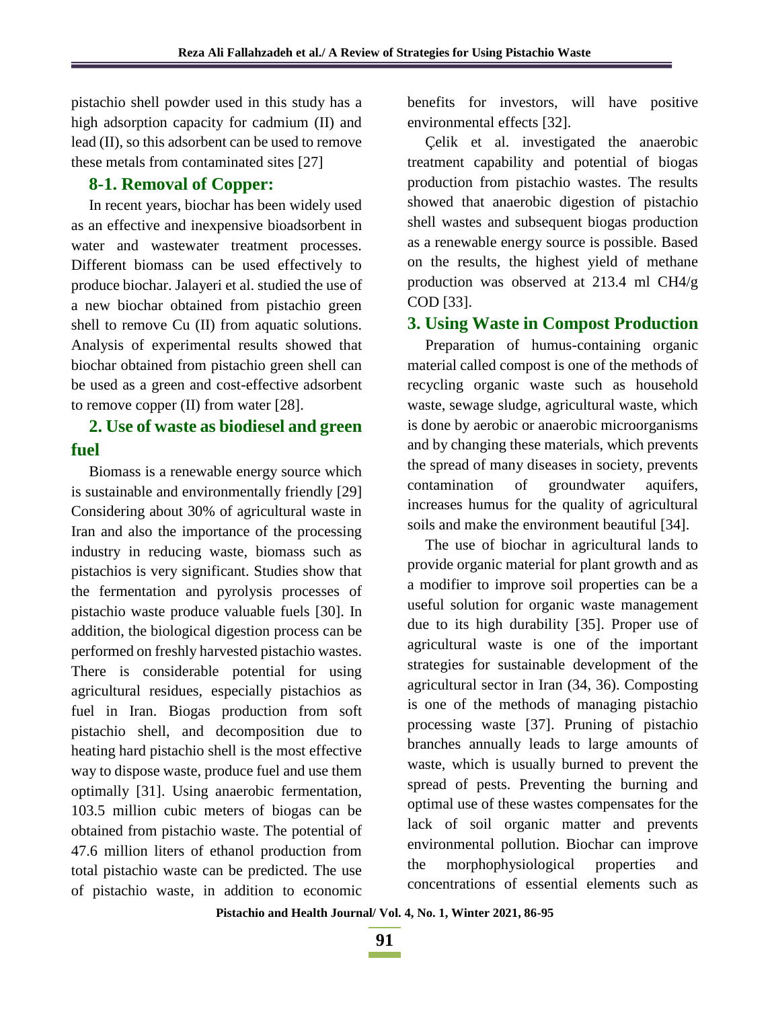pistachio shell powder used in this study has a high adsorption capacity for cadmium (II) and lead (II), so this adsorbent can be used to remove these metals from contaminated sites [27]

#### **8-1. Removal of Copper:**

In recent years, biochar has been widely used as an effective and inexpensive bioadsorbent in water and wastewater treatment processes. Different biomass can be used effectively to produce biochar. Jalayeri et al. studied the use of a new biochar obtained from pistachio green shell to remove Cu (II) from aquatic solutions. Analysis of experimental results showed that biochar obtained from pistachio green shell can be used as a green and cost-effective adsorbent to remove copper (II) from water [28].

### **2. Use of waste as biodiesel and green fuel**

Biomass is a renewable energy source which is sustainable and environmentally friendly [29] Considering about 30% of agricultural waste in Iran and also the importance of the processing industry in reducing waste, biomass such as pistachios is very significant. Studies show that the fermentation and pyrolysis processes of pistachio waste produce valuable fuels [30]. In addition, the biological digestion process can be performed on freshly harvested pistachio wastes. There is considerable potential for using agricultural residues, especially pistachios as fuel in Iran. Biogas production from soft pistachio shell, and decomposition due to heating hard pistachio shell is the most effective way to dispose waste, produce fuel and use them optimally [31]. Using anaerobic fermentation, 103.5 million cubic meters of biogas can be obtained from pistachio waste. The potential of 47.6 million liters of ethanol production from total pistachio waste can be predicted. The use of pistachio waste, in addition to economic

benefits for investors, will have positive environmental effects [32].

Çelik et al. investigated the anaerobic treatment capability and potential of biogas production from pistachio wastes. The results showed that anaerobic digestion of pistachio shell wastes and subsequent biogas production as a renewable energy source is possible. Based on the results, the highest yield of methane production was observed at 213.4 ml CH4/g COD [33].

#### **3. Using Waste in Compost Production**

Preparation of humus-containing organic material called compost is one of the methods of recycling organic waste such as household waste, sewage sludge, agricultural waste, which is done by aerobic or anaerobic microorganisms and by changing these materials, which prevents the spread of many diseases in society, prevents contamination of groundwater aquifers, increases humus for the quality of agricultural soils and make the environment beautiful [34].

The use of biochar in agricultural lands to provide organic material for plant growth and as a modifier to improve soil properties can be a useful solution for organic waste management due to its high durability [35]. Proper use of agricultural waste is one of the important strategies for sustainable development of the agricultural sector in Iran (34, 36). Composting is one of the methods of managing pistachio processing waste [37]. Pruning of pistachio branches annually leads to large amounts of waste, which is usually burned to prevent the spread of pests. Preventing the burning and optimal use of these wastes compensates for the lack of soil organic matter and prevents environmental pollution. Biochar can improve the morphophysiological properties and concentrations of essential elements such as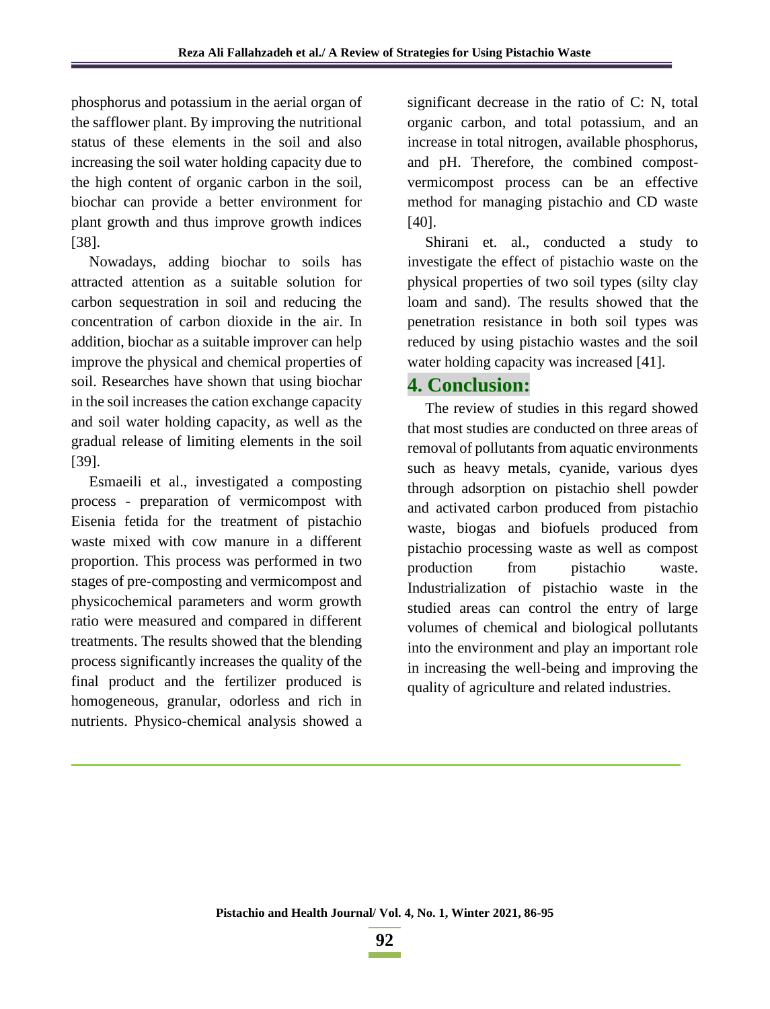phosphorus and potassium in the aerial organ of the safflower plant. By improving the nutritional status of these elements in the soil and also increasing the soil water holding capacity due to the high content of organic carbon in the soil, biochar can provide a better environment for plant growth and thus improve growth indices [38].

Nowadays, adding biochar to soils has attracted attention as a suitable solution for carbon sequestration in soil and reducing the concentration of carbon dioxide in the air. In addition, biochar as a suitable improver can help improve the physical and chemical properties of soil. Researches have shown that using biochar in the soil increases the cation exchange capacity and soil water holding capacity, as well as the gradual release of limiting elements in the soil [39].

Esmaeili et al., investigated a composting process - preparation of vermicompost with Eisenia fetida for the treatment of pistachio waste mixed with cow manure in a different proportion. This process was performed in two stages of pre-composting and vermicompost and physicochemical parameters and worm growth ratio were measured and compared in different treatments. The results showed that the blending process significantly increases the quality of the final product and the fertilizer produced is homogeneous, granular, odorless and rich in nutrients. Physico-chemical analysis showed a

significant decrease in the ratio of C: N, total organic carbon, and total potassium, and an increase in total nitrogen, available phosphorus, and pH. Therefore, the combined compostvermicompost process can be an effective method for managing pistachio and CD waste [40].

Shirani et. al., conducted a study to investigate the effect of pistachio waste on the physical properties of two soil types (silty clay loam and sand). The results showed that the penetration resistance in both soil types was reduced by using pistachio wastes and the soil water holding capacity was increased [41].

## **4. Conclusion:**

The review of studies in this regard showed that most studies are conducted on three areas of removal of pollutants from aquatic environments such as heavy metals, cyanide, various dyes through adsorption on pistachio shell powder and activated carbon produced from pistachio waste, biogas and biofuels produced from pistachio processing waste as well as compost production from pistachio waste. Industrialization of pistachio waste in the studied areas can control the entry of large volumes of chemical and biological pollutants into the environment and play an important role in increasing the well-being and improving the quality of agriculture and related industries.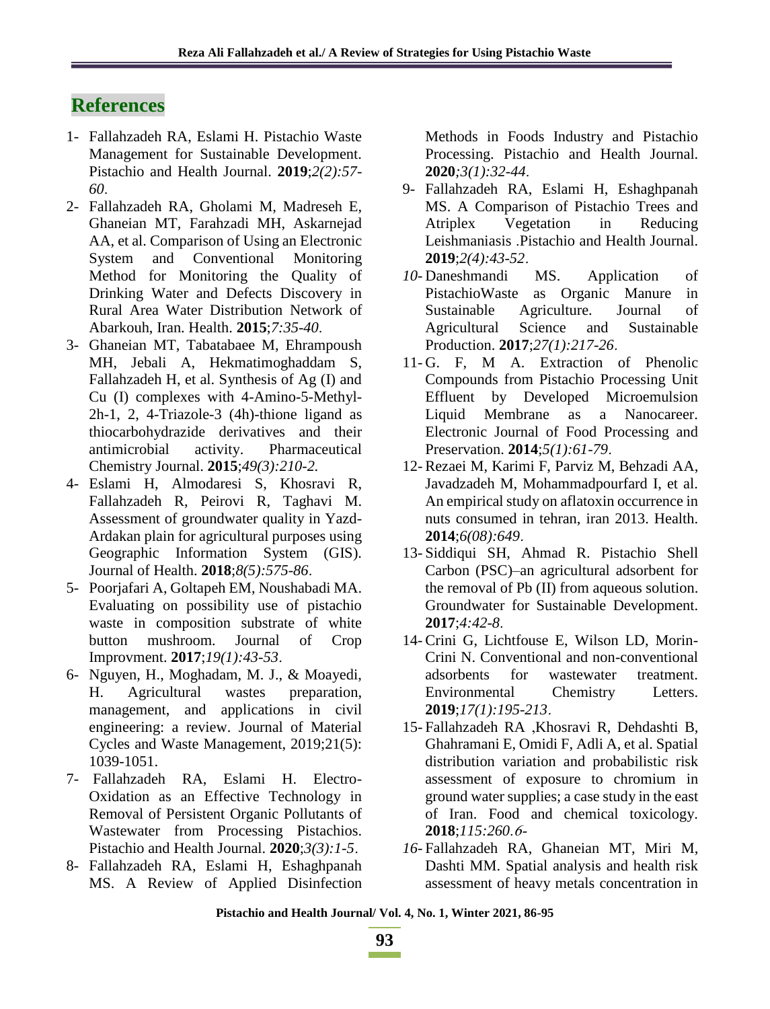# **References**

- 1- Fallahzadeh RA, Eslami H. Pistachio Waste Management for Sustainable Development. Pistachio and Health Journal. **2019**;*2(2):57- 60*.
- 2- Fallahzadeh RA, Gholami M, Madreseh E, Ghaneian MT, Farahzadi MH, Askarnejad AA, et al. Comparison of Using an Electronic System and Conventional Monitoring Method for Monitoring the Quality of Drinking Water and Defects Discovery in Rural Area Water Distribution Network of Abarkouh, Iran. Health. **2015**;*7:35-40*.
- 3- Ghaneian MT, Tabatabaee M, Ehrampoush MH, Jebali A, Hekmatimoghaddam S, Fallahzadeh H, et al. Synthesis of Ag (I) and Cu (I) complexes with 4-Amino-5-Methyl-2h-1, 2, 4-Triazole-3 (4h)-thione ligand as thiocarbohydrazide derivatives and their antimicrobial activity. Pharmaceutical Chemistry Journal. **2015**;*49(3):210-2.*
- 4- Eslami H, Almodaresi S, Khosravi R, Fallahzadeh R, Peirovi R, Taghavi M. Assessment of groundwater quality in Yazd-Ardakan plain for agricultural purposes using Geographic Information System (GIS). Journal of Health. **2018**;*8(5):575-86*.
- 5- Poorjafari A, Goltapeh EM, Noushabadi MA. Evaluating on possibility use of pistachio waste in composition substrate of white button mushroom. Journal of Crop Improvment. **2017**;*19(1):43-53*.
- 6- Nguyen, H., Moghadam, M. J., & Moayedi, H. Agricultural wastes preparation, management, and applications in civil engineering: a review. Journal of Material Cycles and Waste Management, 2019;21(5): 1039-1051.
- 7- Fallahzadeh RA, Eslami H. Electro-Oxidation as an Effective Technology in Removal of Persistent Organic Pollutants of Wastewater from Processing Pistachios. Pistachio and Health Journal. **2020**;*3(3):1-5*.
- 8- Fallahzadeh RA, Eslami H, Eshaghpanah MS. A Review of Applied Disinfection

Methods in Foods Industry and Pistachio Processing. Pistachio and Health Journal. **2020***;3(1):32-44*.

- 9- Fallahzadeh RA, Eslami H, Eshaghpanah MS. A Comparison of Pistachio Trees and Atriplex Vegetation in Reducing Leishmaniasis .Pistachio and Health Journal. **2019**;*2(4):43-52*.
- *10-* Daneshmandi MS. Application of PistachioWaste as Organic Manure in Sustainable Agriculture. Journal of Agricultural Science and Sustainable Production. **2017**;*27(1):217-26*.
- 11- G. F, M A. Extraction of Phenolic Compounds from Pistachio Processing Unit Effluent by Developed Microemulsion Liquid Membrane as a Nanocareer. Electronic Journal of Food Processing and Preservation. **2014**;*5(1):61-79*.
- 12- Rezaei M, Karimi F, Parviz M, Behzadi AA, Javadzadeh M, Mohammadpourfard I, et al. An empirical study on aflatoxin occurrence in nuts consumed in tehran, iran 2013. Health. **2014**;*6(08):649*.
- 13- Siddiqui SH, Ahmad R. Pistachio Shell Carbon (PSC)–an agricultural adsorbent for the removal of Pb (II) from aqueous solution. Groundwater for Sustainable Development. **2017**;*4:42-8*.
- 14- Crini G, Lichtfouse E, Wilson LD, Morin-Crini N. Conventional and non-conventional adsorbents for wastewater treatment. Environmental Chemistry Letters. **2019**;*17(1):195-213*.
- 15- Fallahzadeh RA ,Khosravi R, Dehdashti B, Ghahramani E, Omidi F, Adli A, et al. Spatial distribution variation and probabilistic risk assessment of exposure to chromium in ground water supplies; a case study in the east of Iran. Food and chemical toxicology. **2018**;*115:260*.6-
- *16-* Fallahzadeh RA, Ghaneian MT, Miri M, Dashti MM. Spatial analysis and health risk assessment of heavy metals concentration in

**Pistachio and Health Journal/ Vol. 4, No. 1, Winter 2021, 86-95**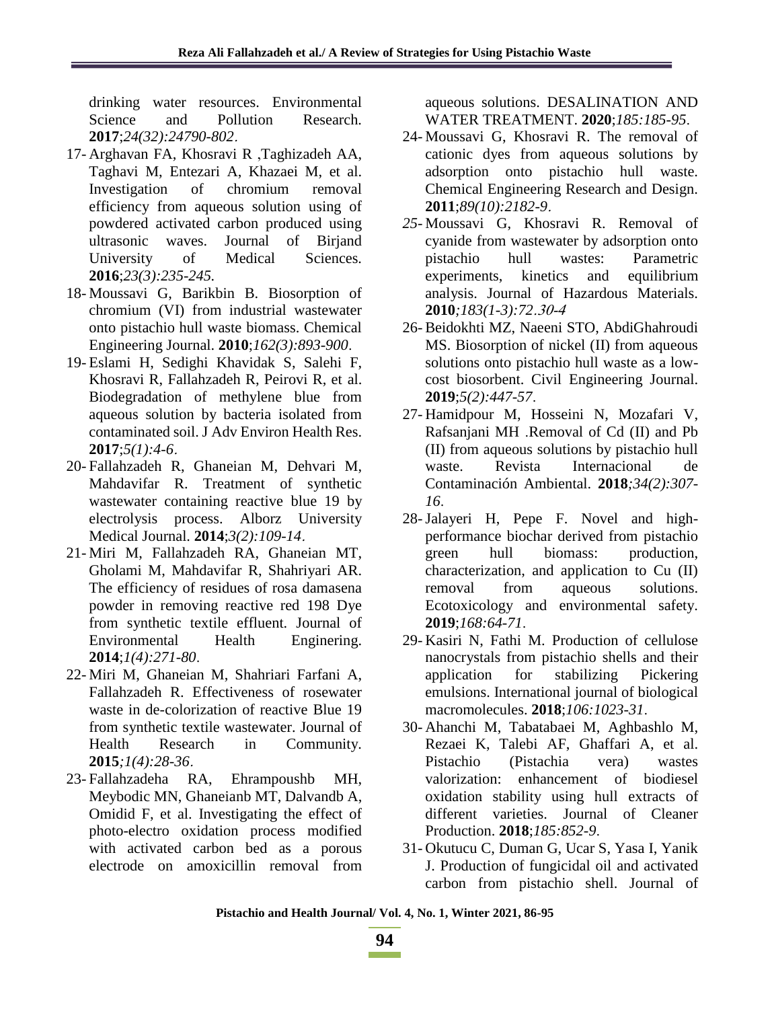drinking water resources. Environmental Science and Pollution Research. **2017**;*24(32):24790-802*.

- 17- Arghavan FA, Khosravi R ,Taghizadeh AA, Taghavi M, Entezari A, Khazaei M, et al. Investigation of chromium removal efficiency from aqueous solution using of powdered activated carbon produced using ultrasonic waves. Journal of Birjand University of Medical Sciences. **2016**;*23(3):235-245.*
- 18- Moussavi G, Barikbin B. Biosorption of chromium (VI) from industrial wastewater onto pistachio hull waste biomass. Chemical Engineering Journal. **2010**;*162(3):893-900*.
- 19- Eslami H, Sedighi Khavidak S, Salehi F, Khosravi R, Fallahzadeh R, Peirovi R, et al. Biodegradation of methylene blue from aqueous solution by bacteria isolated from contaminated soil. J Adv Environ Health Res. **2017**;*5(1):4-6*.
- 20- Fallahzadeh R, Ghaneian M, Dehvari M, Mahdavifar R. Treatment of synthetic wastewater containing reactive blue 19 by electrolysis process. Alborz University Medical Journal. **2014**;*3(2):109-14*.
- 21- Miri M, Fallahzadeh RA, Ghaneian MT, Gholami M, Mahdavifar R, Shahriyari AR. The efficiency of residues of rosa damasena powder in removing reactive red 198 Dye from synthetic textile effluent. Journal of Environmental Health Enginering. **2014**;*1(4):271-80*.
- 22- Miri M, Ghaneian M, Shahriari Farfani A, Fallahzadeh R. Effectiveness of rosewater waste in de-colorization of reactive Blue 19 from synthetic textile wastewater. Journal of Health Research in Community. **2015***;1(4):28-36*.
- 23- Fallahzadeha RA, Ehrampoushb MH, Meybodic MN, Ghaneianb MT, Dalvandb A, Omidid F, et al. Investigating the effect of photo-electro oxidation process modified with activated carbon bed as a porous electrode on amoxicillin removal from

aqueous solutions. DESALINATION AND WATER TREATMENT. **2020**;*185:185-95*.

- 24- Moussavi G, Khosravi R. The removal of cationic dyes from aqueous solutions by adsorption onto pistachio hull waste. Chemical Engineering Research and Design. **2011**;*89(10):2182-9*.
- *25-* Moussavi G, Khosravi R. Removal of cyanide from wastewater by adsorption onto pistachio hull wastes: Parametric experiments, kinetics and equilibrium analysis. Journal of Hazardous Materials. **2010***;183(1-3):72.30-4*
- 26- Beidokhti MZ, Naeeni STO, AbdiGhahroudi MS. Biosorption of nickel (II) from aqueous solutions onto pistachio hull waste as a lowcost biosorbent. Civil Engineering Journal. **2019**;*5(2):447-57*.
- 27- Hamidpour M, Hosseini N, Mozafari V, Rafsanjani MH .Removal of Cd (II) and Pb (II) from aqueous solutions by pistachio hull waste. Revista Internacional de Contaminación Ambiental. **2018***;34(2):307- 16*.
- 28-Jalayeri H, Pepe F. Novel and highperformance biochar derived from pistachio green hull biomass: production, characterization, and application to Cu (II) removal from aqueous solutions. Ecotoxicology and environmental safety. **2019**;*168:64-71*.
- 29- Kasiri N, Fathi M. Production of cellulose nanocrystals from pistachio shells and their application for stabilizing Pickering emulsions. International journal of biological macromolecules. **2018**;*106:1023-31*.
- 30- Ahanchi M, Tabatabaei M, Aghbashlo M, Rezaei K, Talebi AF, Ghaffari A, et al. Pistachio (Pistachia vera) wastes valorization: enhancement of biodiesel oxidation stability using hull extracts of different varieties. Journal of Cleaner Production. **2018**;*185:852-9*.
- 31- Okutucu C, Duman G, Ucar S, Yasa I, Yanik J. Production of fungicidal oil and activated carbon from pistachio shell. Journal of

**Pistachio and Health Journal/ Vol. 4, No. 1, Winter 2021, 86-95**